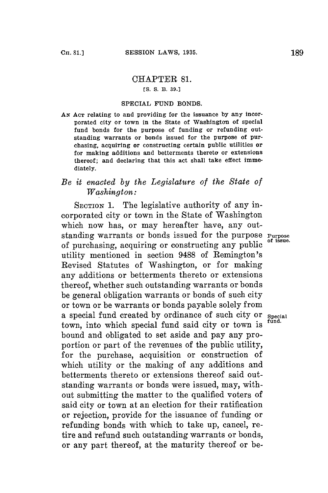## CHAPTER **81.**

## **[S. S. B. 39.)**

## SPECIAL **FUND BONDS.**

**AN AcT** relating to and providing for the issuance **by** any incorporated city or town in the State of Washington of special fund bonds for the purpose of funding or refunding outstanding warrants or bonds issued for the purpose of purchasing, acquiring or constructing certain public utilities or for making additions and betterments thereto or extensions thereof; and declaring that this act shall take effect immediately.

## *Be it enacted by the Legislature of the State of Washington:*

SECTION 1. The legislative authority of any incorporated city or town in the State of Washington which now has, or may hereafter have, any outstanding warrants or bonds issued for the purpose **Purpose** of purchasing, acquiring or constructing any public utility mentioned in section 9488 of Remington's Revised Statutes of Washington, or for making any additions or betterments thereto or extensions thereof, whether such outstanding warrants or bonds be general obligation warrants or bonds of such city or town or be warrants or bonds payable solely from a special fund created **by** ordinance of such city or **special** town, into which special fund said city or town is bound and obligated to set aside and pay any proportion or part of the revenues of the public utility, for the purchase, acquisition or construction of which utility or the making of any additions and betterments thereto or extensions thereof said outstanding warrants or bonds were issued, may, without submitting the matter to the qualified voters of said city or town at an election for their ratification or rejection, provide for the issuance of funding or refunding bonds with which to take up, cancel, retire and refund such outstanding warrants or bonds, or any part thereof, at the maturity thereof or be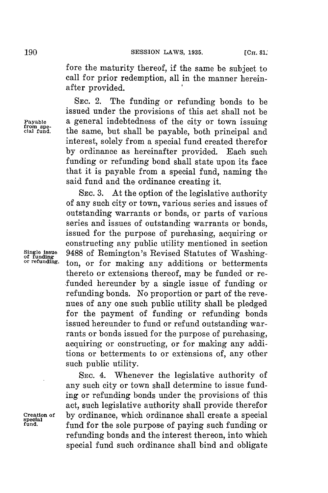fore the maturity thereof, if the same be subject to call for prior redemption, all in the manner hereinafter provided. **I**

**SEC.** 2. The funding or refunding bonds to be issued under the provisions of this act shall not be<br>a general indebtedness of the city or town issuing Payable **a** general indebtedness of the city or town issuing from special fund. **the same, but shall be payable, both principal and** interest, solely from a special fund created therefor **by** ordinance as hereinafter provided. Each such funding or refunding bond shall state upon its face that it is payable from a special fund, naming the said fund and the ordinance creating it.

**SEc. 3.** At the option of the legislative authority of any such city or town, various series and issues of outstanding warrants or bonds, or parts of various series and issues of outstanding warrants or bonds, issued for the purpose of purchasing, acquiring or constructing any public utility mentioned in section **Single issue** 9488 of Remington's Revised Statutes of Washing- **of funding or refunding,** ton, or for making any additions or betterments thereto or extensions thereof, may be funded or refunded hereunder **by** a single issue of funding or refunding bonds. No proportion or part of the revenues of any one such public utility shall be pledged **for** the payment of funding or refunding bonds issued hereunder to fund or refund outstanding warrants or bonds issued **for** the purpose of purchasing, acquiring or constructing, or for making any additions or betterments to or extensions of, any other such public utility.

SEc. 4. Whenever the legislative authority of any such city or town shall determine to issue funding or refunding bonds under the provisions of this act, such legislative authority shall provide therefor **Creation of by** ordinance, which ordinance shall create a special **special fund.** fund for the sole purpose of paying such funding or refunding bonds and the interest thereon, into which special fund such ordinance shall bind and obligate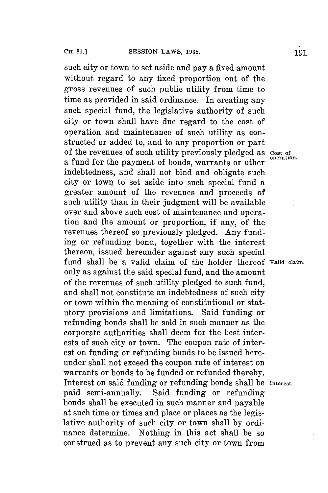such city or town to set aside and pay a fixed amount without regard to any fixed proportion out of the gross revenues of such public utility from time to time as provided in said ordinance. In creating any such special fund, the legislative authority of such city or town shall have due regard to the cost of operation and maintenance of such utility as constructed or added to, and to any proportion or part of the revenues of such utility previously pledged as **cost of** a fund for the payment of bonds, warrants or other indebtedness, and shall not bind and obligate such city or town to set aside into such special fund a greater amount of the revenues and proceeds of such utility than in their judgment will be available over and above such cost of maintenance and operation and the amount or proportion, if any, of the revenues thereof so previously pledged. Any funding or refunding bond, together with the interest thereon, issued hereunder against any such special fund shall be a valid claim of the holder thereof **Valid claim.** only as against the said special fund, and the amount of the revenues of such utility pledged to such fund, and shall not constitute an indebtedness of such city or town within the meaning of constitutional or statutory provisions and limitations. Said funding or refunding bonds shall be sold in such manner as the corporate authorities shall deem for the best interests of such city or town. The coupon rate of interest on funding or refunding bonds to be issued hereunder shall not exceed the coupon rate of interest on warrants or bonds to be funded or refunded thereby. Interest on said funding or refunding bonds shall be Interest. paid semi-annually. Said funding or refunding bonds shall be executed in such manner and payable at such time or times and place or places as the legislative authority of such city or town shall **by** ordinance determine. Nothing in this act shall be so construed as to prevent any such city or town from